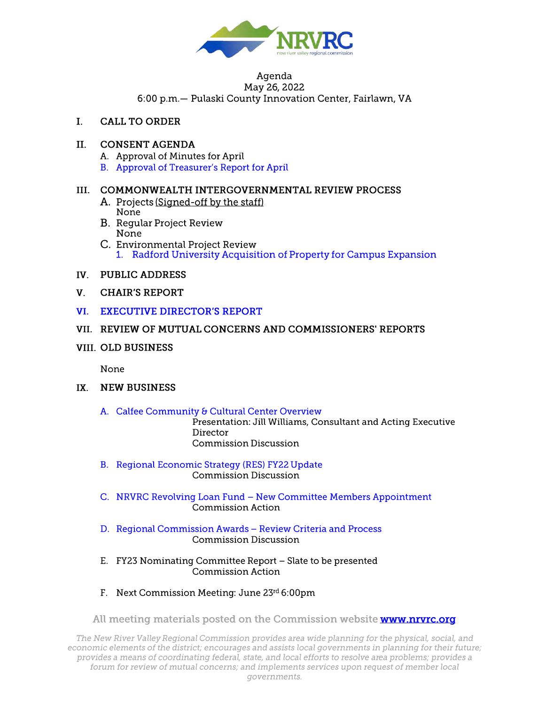

#### Agenda May 26, 2022

6:00 p.m.- Pulaski County Innovation Center, Fairlawn, VA

 $\mathbf{I}$ . **CALL TO ORDER** 

#### $\Pi$ . **CONSENT AGENDA**

- A. Approval of Minutes for April
- B. Approval of Treasurer's Report for April

## III. COMMONWEALTH INTERGOVERNMENTAL REVIEW PROCESS

- A. Projects (Signed-off by the staff) None
- **B.** Regular Project Review None
- C. Environmental Project Review 1. Radford University Acquisition of Property for Campus Expansion
- IV. PUBLIC ADDRESS
- **CHAIR'S REPORT**  $V_{\cdot}$
- VI. EXECUTIVE DIRECTOR'S REPORT
- VII. REVIEW OF MUTUAL CONCERNS AND COMMISSIONERS' REPORTS
- **VIII. OLD BUSINESS**

None

- IX. NEW BUSINESS
	- A. Calfee Community & Cultural Center Overview

Presentation: Jill Williams, Consultant and Acting Executive Director **Commission Discussion** 

- **B.** Regional Economic Strategy (RES) FY22 Update **Commission Discussion**
- C. NRVRC Revolving Loan Fund New Committee Members Appointment Commission Action
- D. Regional Commission Awards Review Criteria and Process **Commission Discussion**
- E. FY23 Nominating Committee Report Slate to be presented Commission Action
- F. Next Commission Meeting: June 23rd 6:00pm

All meeting materials posted on the Commission website www.nrvrc.org

The New River Valley Regional Commission provides area wide planning for the physical, social, and economic elements of the district; encourages and assists local governments in planning for their future; provides a means of coordinating federal, state, and local efforts to resolve area problems; provides a forum for review of mutual concerns; and implements services upon request of member local governments.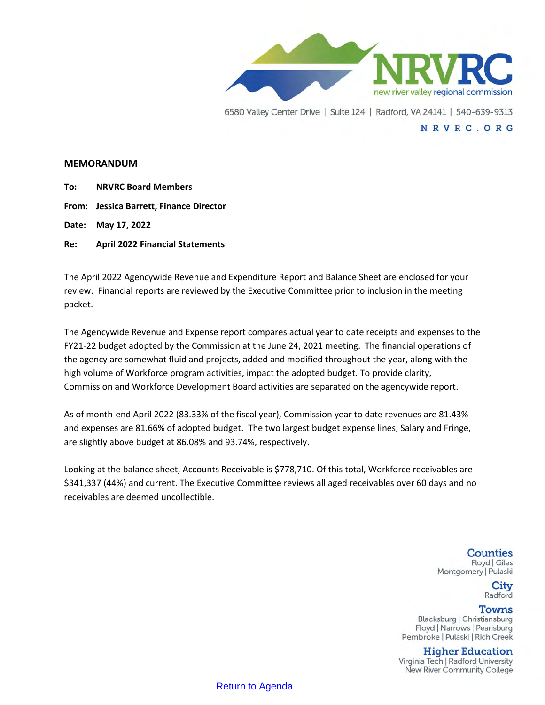

#### **MEMORANDUM**

**To: NRVRC Board Members**

**From: Jessica Barrett, Finance Director**

**Date: May 17, 2022** 

**Re: April 2022 Financial Statements**

The April 2022 Agencywide Revenue and Expenditure Report and Balance Sheet are enclosed for your review. Financial reports are reviewed by the Executive Committee prior to inclusion in the meeting packet.

The Agencywide Revenue and Expense report compares actual year to date receipts and expenses to the FY21-22 budget adopted by the Commission at the June 24, 2021 meeting. The financial operations of the agency are somewhat fluid and projects, added and modified throughout the year, along with the high volume of Workforce program activities, impact the adopted budget. To provide clarity, Commission and Workforce Development Board activities are separated on the agencywide report.

As of month-end April 2022 (83.33% of the fiscal year), Commission year to date revenues are 81.43% and expenses are 81.66% of adopted budget. The two largest budget expense lines, Salary and Fringe, are slightly above budget at 86.08% and 93.74%, respectively.

Looking at the balance sheet, Accounts Receivable is \$778,710. Of this total, Workforce receivables are \$341,337 (44%) and current. The Executive Committee reviews all aged receivables over 60 days and no receivables are deemed uncollectible.

#### **Counties** Floyd | Giles Montgomery | Pulaski

City Radford

#### **Towns**

Blacksburg | Christiansburg Floyd | Narrows | Pearisburg Pembroke | Pulaski | Rich Creek

## **Higher Education**

Virginia Tech | Radford University New River Community College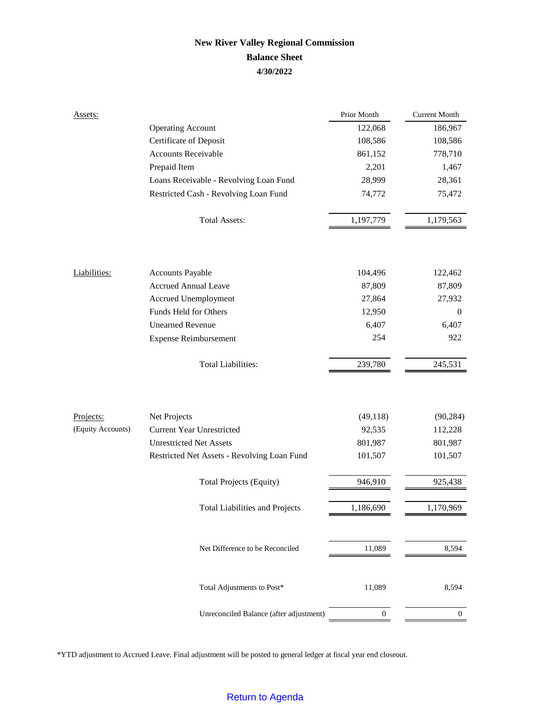# **New River Valley Regional Commission Balance Sheet 4/30/2022**

| Assets:           |                                             | Prior Month      | <b>Current Month</b> |
|-------------------|---------------------------------------------|------------------|----------------------|
|                   | <b>Operating Account</b>                    | 122,068          | 186,967              |
|                   | Certificate of Deposit                      | 108,586          | 108,586              |
|                   | Accounts Receivable                         | 861,152          | 778,710              |
|                   | Prepaid Item                                | 2,201            | 1,467                |
|                   | Loans Receivable - Revolving Loan Fund      | 28,999           | 28,361               |
|                   | Restricted Cash - Revolving Loan Fund       | 74,772           | 75,472               |
|                   | <b>Total Assets:</b>                        | 1,197,779        | 1,179,563            |
|                   |                                             |                  |                      |
| Liabilities:      | <b>Accounts Payable</b>                     | 104,496          | 122,462              |
|                   | <b>Accrued Annual Leave</b>                 | 87,809           | 87,809               |
|                   | Accrued Unemployment                        | 27,864           | 27,932               |
|                   | Funds Held for Others                       | 12,950           | $\mathbf{0}$         |
|                   | <b>Unearned Revenue</b>                     | 6,407            | 6,407                |
|                   | <b>Expense Reimbursement</b>                | 254              | 922                  |
|                   | <b>Total Liabilities:</b>                   | 239,780          | 245,531              |
|                   |                                             |                  |                      |
| Projects:         | Net Projects                                | (49, 118)        | (90, 284)            |
| (Equity Accounts) | <b>Current Year Unrestricted</b>            | 92,535           | 112,228              |
|                   | <b>Unrestricted Net Assets</b>              | 801,987          | 801,987              |
|                   | Restricted Net Assets - Revolving Loan Fund | 101,507          | 101,507              |
|                   | <b>Total Projects (Equity)</b>              | 946,910          | 925,438              |
|                   | <b>Total Liabilities and Projects</b>       | 1,186,690        | 1,170,969            |
|                   | Net Difference to be Reconciled             | 11,089           | 8,594                |
|                   | Total Adjustments to Post*                  | 11,089           | 8,594                |
|                   | Unreconciled Balance (after adjustment)     | $\boldsymbol{0}$ | $\mathbf{0}$         |

\*YTD adjustment to Accrued Leave. Final adjustment will be posted to general ledger at fiscal year end closeout.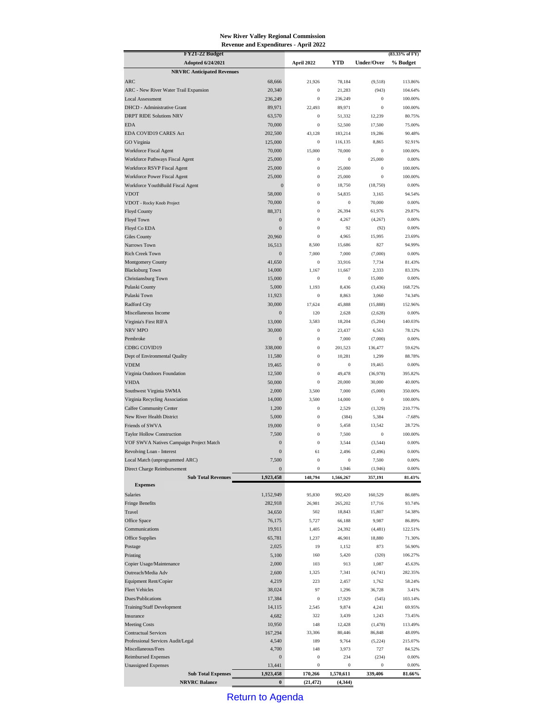#### **New River Valley Regional Commission Revenue and Expenditures - April 2022**

| FY21-22 Budget                                         |                   |                      |                   |                              | $(83.33\% \text{ of FY})$ |
|--------------------------------------------------------|-------------------|----------------------|-------------------|------------------------------|---------------------------|
| <b>Adopted 6/24/2021</b>                               |                   | April 2022           | YTD               | Under/Over                   | % Budget                  |
| <b>NRVRC Anticipated Revenues</b>                      |                   |                      |                   |                              |                           |
| ARC                                                    | 68,666            | 21,926               | 78,184            | (9,518)                      | 113.86%                   |
| ARC - New River Water Trail Expansion                  | 20,340            | $\bf{0}$<br>$\bf{0}$ | 21,283            | (943)                        | 104.64%                   |
| <b>Local Assessment</b><br>DHCD - Administrative Grant | 236,249<br>89,971 | 22,493               | 236,249<br>89,971 | $\boldsymbol{0}$<br>$\bf{0}$ | 100.00%<br>100.00%        |
| <b>DRPT RIDE Solutions NRV</b>                         | 63,570            | $\bf{0}$             | 51,332            | 12,239                       | 80.75%                    |
| <b>EDA</b>                                             | 70,000            | $\bf{0}$             | 52,500            | 17,500                       | 75.00%                    |
| EDA COVID19 CARES Act                                  | 202,500           | 43,128               | 183,214           | 19,286                       | 90.48%                    |
| GO Virginia                                            | 125,000           | $\bf{0}$             | 116,135           | 8,865                        | 92.91%                    |
| Workforce Fiscal Agent                                 | 70,000            | 15,000               | 70,000            | $\boldsymbol{0}$             | 100.00%                   |
| Workforce Pathways Fiscal Agent                        | 25,000            | $\bf{0}$             | $\bf{0}$          | 25,000                       | 0.00%                     |
| Workforce RSVP Fiscal Agent                            | 25,000            | $\bf{0}$             | 25,000            | $\boldsymbol{0}$             | 100.00%                   |
| Workforce Power Fiscal Agent                           | 25,000            | $\bf{0}$             | 25,000            | $\bf{0}$                     | 100.00%                   |
| Workforce YouthBuild Fiscal Agent                      | $\mathbf{0}$      | $\bf{0}$             | 18,750            | (18,750)                     | 0.00%                     |
| <b>VDOT</b>                                            | 58,000            | $\bf{0}$             | 54,835            | 3,165                        | 94.54%                    |
| VDOT - Rocky Knob Project                              | 70,000            | $\bf{0}$             | $\bf{0}$          | 70,000                       | 0.00%                     |
| <b>Floyd County</b>                                    | 88,371            | $\bf{0}$             | 26,394            | 61,976                       | 29.87%                    |
| Floyd Town                                             | $\boldsymbol{0}$  | $\bf{0}$             | 4,267             | (4,267)                      | 0.00%                     |
| Floyd Co EDA                                           | $\mathbf{0}$      | $\bf{0}$             | 92                | (92)                         | 0.00%                     |
| Giles County                                           | 20,960            | $\bf{0}$             | 4,965             | 15,995                       | 23.69%                    |
| Narrows Town                                           | 16,513            | 8,500                | 15,686            | 827                          | 94.99%                    |
| Rich Creek Town                                        | $\boldsymbol{0}$  | 7,000                | 7,000             | (7,000)                      | 0.00%                     |
| Montgomery County                                      | 41,650            | $\bf{0}$             | 33,916            | 7,734                        | 81.43%                    |
| <b>Blacksburg Town</b>                                 | 14,000            | 1,167                | 11,667            | 2,333                        | 83.33%                    |
| Christiansburg Town<br>Pulaski County                  | 15,000            | $\bf{0}$             | $\bf{0}$          | 15,000                       | 0.00%                     |
| Pulaski Town                                           | 5,000<br>11,923   | 1,193<br>$\bf{0}$    | 8,436<br>8,863    | (3, 436)<br>3,060            | 168.72%<br>74.34%         |
| <b>Radford City</b>                                    | 30,000            | 17,624               | 45,888            | (15,888)                     | 152.96%                   |
| Miscellaneous Income                                   | $\boldsymbol{0}$  | 120                  | 2,628             | (2,628)                      | 0.00%                     |
| Virginia's First RIFA                                  | 13,000            | 3,583                | 18,204            | (5,204)                      | 140.03%                   |
| <b>NRV MPO</b>                                         | 30,000            | $\bf{0}$             | 23,437            | 6,563                        | 78.12%                    |
| Pembroke                                               | $\mathbf{0}$      | $\bf{0}$             | 7,000             | (7,000)                      | 0.00%                     |
| CDBG COVID19                                           | 338,000           | $\bf{0}$             | 201,523           | 136,477                      | 59.62%                    |
| Dept of Environmental Quality                          | 11,580            | $\bf{0}$             | 10,281            | 1,299                        | 88.78%                    |
| <b>VDEM</b>                                            | 19,465            | $\bf{0}$             | $\bf{0}$          | 19,465                       | 0.00%                     |
| Virginia Outdoors Foundation                           | 12,500            | $\bf{0}$             | 49,478            | (36,978)                     | 395.82%                   |
| <b>VHDA</b>                                            | 50,000            | $\bf{0}$             | 20,000            | 30,000                       | 40.00%                    |
| Southwest Virginia SWMA                                | 2,000             | 3,500                | 7,000             | (5,000)                      | 350.00%                   |
| Virginia Recycling Association                         | 14,000            | 3,500                | 14,000            | $\bf{0}$                     | 100.00%                   |
| <b>Calfee Community Center</b>                         | 1,200             | $\bf{0}$             | 2,529             | (1,329)                      | 210.77%                   |
| New River Health District                              | 5,000             | $\bf{0}$             | (384)             | 5,384                        | $-7.68%$                  |
| Friends of SWVA                                        | 19,000            | $\bf{0}$             | 5,458             | 13,542                       | 28.72%                    |
| <b>Taylor Hollow Construction</b>                      | 7,500             | $\bf{0}$             | 7,500             | $\boldsymbol{0}$             | 100.00%                   |
| VOF SWVA Natives Campaign Project Match                | $\boldsymbol{0}$  | $\bf{0}$             | 3,544             | (3, 544)                     | 0.00%                     |
| Revolving Loan - Interest                              | $\bf{0}$          | 61                   | 2,496             | (2, 496)                     | 0.00%                     |
| Local Match (unprogrammed ARC)                         | 7,500             | $\boldsymbol{0}$     | $\boldsymbol{0}$  | 7,500                        | 0.00%                     |
| Direct Charge Reimbursement                            | $\boldsymbol{0}$  | $\bf{0}$             | 1,946             | (1,946)                      | 0.00%                     |
| <b>Sub Total Revenues</b>                              | 1,923,458         | 148,794              | 1,566,267         | 357,191                      | 81.43%                    |
| <b>Expenses</b>                                        |                   |                      |                   |                              |                           |
| Salaries                                               | 1,152,949         | 95,830               | 992,420           | 160,529                      | 86.08%                    |
| <b>Fringe Benefits</b>                                 | 282,918           | 26,981               | 265,202           | 17,716                       | 93.74%                    |
| Travel                                                 | 34,650            | 502                  | 18,843            | 15,807                       | 54.38%                    |
| Office Space                                           | 76,175            | 5,727                | 66,188            | 9,987                        | 86.89%                    |
| Communications<br><b>Office Supplies</b>               | 19,911            | 1,405                | 24,392            | (4, 481)<br>18,880           | 122.51%<br>71.30%         |
|                                                        | 65,781<br>2,025   | 1,237<br>19          | 46,901<br>1,152   | 873                          | 56.90%                    |
| Postage<br>Printing                                    | 5,100             | 160                  | 5,420             | (320)                        | 106.27%                   |
| Copier Usage/Maintenance                               | 2,000             | 103                  | 913               | 1,087                        | 45.63%                    |
| Outreach/Media Adv                                     | 2,600             | 1,325                | 7,341             | (4,741)                      | 282.35%                   |
| Equipment Rent/Copier                                  | 4,219             | 223                  | 2,457             | 1,762                        | 58.24%                    |
| <b>Fleet Vehicles</b>                                  | 38,024            | 97                   | 1,296             | 36,728                       | 3.41%                     |
| Dues/Publications                                      | 17,384            | $\boldsymbol{0}$     | 17,929            | (545)                        | 103.14%                   |
| Training/Staff Development                             | 14,115            | 2,545                | 9,874             | 4,241                        | 69.95%                    |
| Insurance                                              | 4,682             | 322                  | 3,439             | 1,243                        | 73.45%                    |
| <b>Meeting Costs</b>                                   | 10,950            | 148                  | 12,428            | (1, 478)                     | 113.49%                   |
| <b>Contractual Services</b>                            | 167,294           | 33,306               | 80,446            | 86,848                       | 48.09%                    |
| Professional Services Audit/Legal                      | 4,540             | 189                  | 9,764             | (5,224)                      | 215.07%                   |
| Miscellaneous/Fees                                     | 4,700             | 148                  | 3,973             | 727                          | 84.52%                    |
| <b>Reimbursed Expenses</b>                             | $\boldsymbol{0}$  | $\bf{0}$             | 234               | (234)                        | 0.00%                     |
| <b>Unassigned Expenses</b>                             | 13,441            | $\bf{0}$             | $\bf{0}$          | $\boldsymbol{0}$             | 0.00%                     |
| <b>Sub Total Expenses</b>                              | 1,923,458         | 170,266              | 1,570,611         | 339,406                      | 81.66%                    |
| <b>NRVRC Balance</b>                                   | $\bf{0}$          | (21, 472)            | (4, 344)          |                              |                           |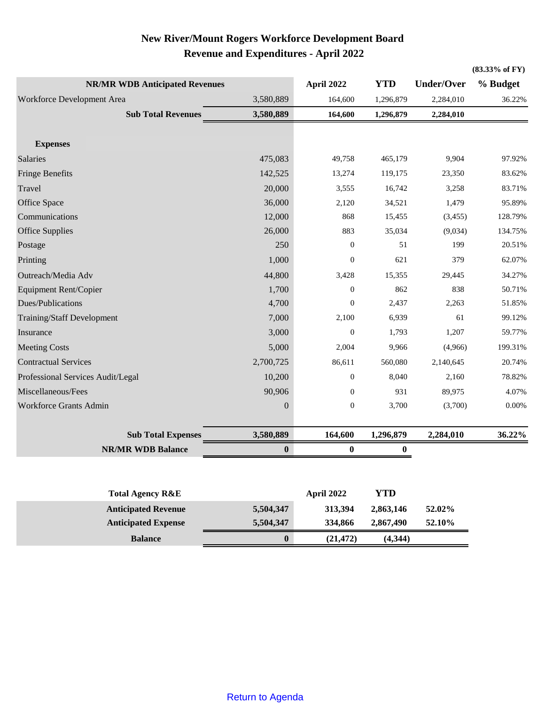# **New River/Mount Rogers Workforce Development Board Revenue and Expenditures - April 2022**

|                                                          |                  |                           |                  |                    | (83.33% of FY)    |
|----------------------------------------------------------|------------------|---------------------------|------------------|--------------------|-------------------|
| <b>NR/MR WDB Anticipated Revenues</b>                    |                  | April 2022                | <b>YTD</b>       | <b>Under/Over</b>  | % Budget          |
| Workforce Development Area<br>3,580,889                  |                  | 164,600                   | 1,296,879        | 2,284,010          | 36.22%            |
| <b>Sub Total Revenues</b>                                | 3,580,889        | 164,600                   | 1,296,879        | 2,284,010          |                   |
| <b>Expenses</b>                                          |                  |                           |                  |                    |                   |
| Salaries                                                 | 475,083          | 49,758                    | 465,179          | 9,904              | 97.92%            |
|                                                          | 142,525          |                           |                  |                    | 83.62%            |
| <b>Fringe Benefits</b>                                   |                  | 13,274                    | 119,175          | 23,350             |                   |
| Travel                                                   | 20,000           | 3,555                     | 16,742           | 3,258              | 83.71%            |
| Office Space<br>Communications                           | 36,000           | 2,120<br>868              | 34,521           | 1,479              | 95.89%<br>128.79% |
| <b>Office Supplies</b>                                   | 12,000<br>26,000 | 883                       | 15,455<br>35,034 | (3,455)<br>(9,034) | 134.75%           |
| Postage                                                  | 250              | $\boldsymbol{0}$          | 51               | 199                | 20.51%            |
| Printing                                                 | 1,000            | $\boldsymbol{0}$          | 621              | 379                | 62.07%            |
|                                                          |                  |                           |                  |                    |                   |
| Outreach/Media Adv                                       | 44,800<br>1,700  | 3,428<br>$\boldsymbol{0}$ | 15,355<br>862    | 29,445<br>838      | 34.27%<br>50.71%  |
| <b>Equipment Rent/Copier</b><br>Dues/Publications        | 4,700            | $\boldsymbol{0}$          | 2,437            | 2,263              | 51.85%            |
| Training/Staff Development                               | 7,000            | 2,100                     | 6,939            | 61                 | 99.12%            |
| Insurance                                                | 3,000            | $\boldsymbol{0}$          | 1,793            | 1,207              | 59.77%            |
|                                                          |                  |                           |                  |                    | 199.31%           |
| <b>Meeting Costs</b>                                     | 5,000            | 2,004                     | 9,966            | (4,966)            |                   |
| <b>Contractual Services</b>                              | 2,700,725        | 86,611                    | 560,080          | 2,140,645          | 20.74%            |
| Professional Services Audit/Legal                        | 10,200           | $\boldsymbol{0}$          | 8,040            | 2,160              | 78.82%            |
| Miscellaneous/Fees                                       | 90,906           | $\mathbf{0}$              | 931              | 89,975             | 4.07%             |
| Workforce Grants Admin                                   | $\boldsymbol{0}$ | $\boldsymbol{0}$          | 3,700            | (3,700)            | 0.00%             |
| <b>Sub Total Expenses</b>                                | 3,580,889        | 164,600                   | 1,296,879        | 2,284,010          | 36.22%            |
| <b>NR/MR WDB Balance</b>                                 | $\boldsymbol{0}$ | $\bf{0}$                  | $\bf{0}$         |                    |                   |
|                                                          |                  |                           |                  |                    |                   |
| <b>Total Agency R&amp;E</b>                              |                  | April 2022                | <b>YTD</b>       |                    |                   |
|                                                          | 5,504,347        | 313,394                   | 2,863,146        | 52.02%             |                   |
| <b>Anticipated Revenue</b><br><b>Anticipated Expense</b> | 5,504,347        | 334,866                   | 2,867,490        | 52.10%             |                   |
|                                                          |                  |                           |                  |                    |                   |
| <b>Balance</b>                                           | $\bf{0}$         | (21, 472)                 | (4, 344)         |                    |                   |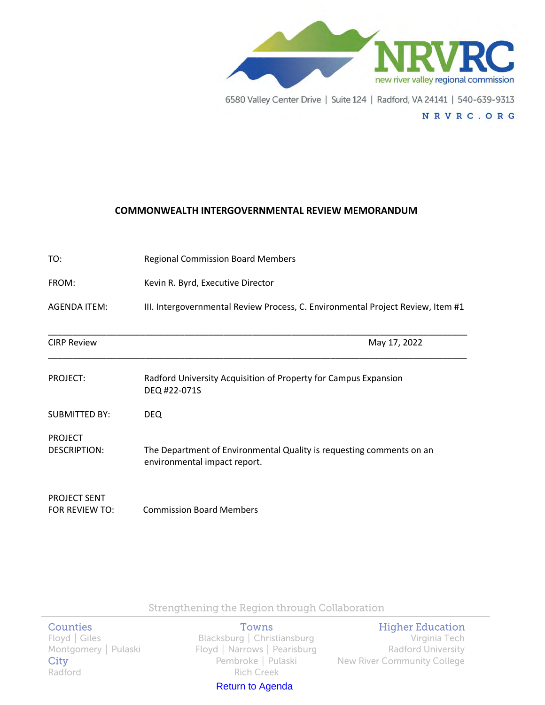

NRVRC.ORG

#### **COMMONWEALTH INTERGOVERNMENTAL REVIEW MEMORANDUM**

| TO:                                   | <b>Regional Commission Board Members</b>                                                             |
|---------------------------------------|------------------------------------------------------------------------------------------------------|
| FROM:                                 | Kevin R. Byrd, Executive Director                                                                    |
| <b>AGENDA ITEM:</b>                   | III. Intergovernmental Review Process, C. Environmental Project Review, Item #1                      |
| <b>CIRP Review</b>                    | May 17, 2022                                                                                         |
| PROJECT:                              | Radford University Acquisition of Property for Campus Expansion<br>DEQ #22-071S                      |
| <b>SUBMITTED BY:</b>                  | <b>DEQ</b>                                                                                           |
| <b>PROJECT</b><br><b>DESCRIPTION:</b> | The Department of Environmental Quality is requesting comments on an<br>environmental impact report. |
| <b>PROJECT SENT</b><br>FOR REVIEW TO: | <b>Commission Board Members</b>                                                                      |

Strengthening the Region through Collaboration

## **Counties**

City Radford

Towns Floyd | Giles Blacksburg | Christiansburg Montgomery | Pulaski Karl Koyd | Narrows | Pearisburg Pembroke | Pulaski **Rich Creek** 

Return to Agenda

## **Higher Education**

Virginia Tech Radford University **New River Community College**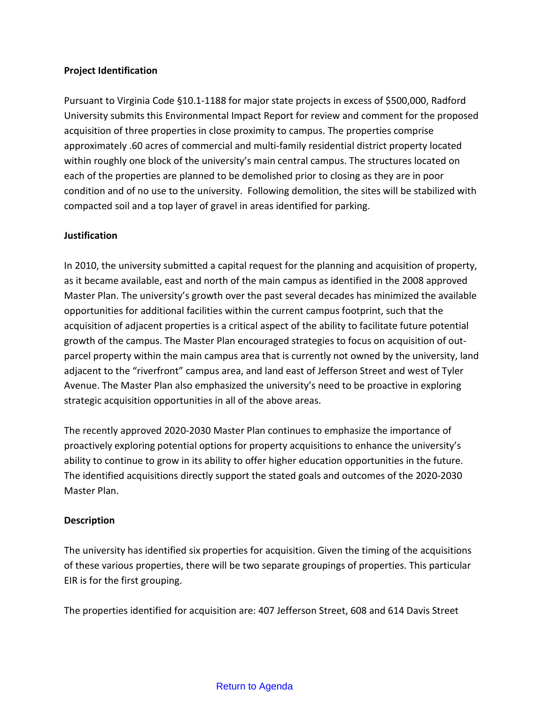## **Project Identification**

Pursuant to Virginia Code §10.1-1188 for major state projects in excess of \$500,000, Radford University submits this Environmental Impact Report for review and comment for the proposed acquisition of three properties in close proximity to campus. The properties comprise approximately .60 acres of commercial and multi-family residential district property located within roughly one block of the university's main central campus. The structures located on each of the properties are planned to be demolished prior to closing as they are in poor condition and of no use to the university. Following demolition, the sites will be stabilized with compacted soil and a top layer of gravel in areas identified for parking.

## **Justification**

In 2010, the university submitted a capital request for the planning and acquisition of property, as it became available, east and north of the main campus as identified in the 2008 approved Master Plan. The university's growth over the past several decades has minimized the available opportunities for additional facilities within the current campus footprint, such that the acquisition of adjacent properties is a critical aspect of the ability to facilitate future potential growth of the campus. The Master Plan encouraged strategies to focus on acquisition of outparcel property within the main campus area that is currently not owned by the university, land adjacent to the "riverfront" campus area, and land east of Jefferson Street and west of Tyler Avenue. The Master Plan also emphasized the university's need to be proactive in exploring strategic acquisition opportunities in all of the above areas.

The recently approved 2020-2030 Master Plan continues to emphasize the importance of proactively exploring potential options for property acquisitions to enhance the university's ability to continue to grow in its ability to offer higher education opportunities in the future. The identified acquisitions directly support the stated goals and outcomes of the 2020-2030 Master Plan.

## **Description**

The university has identified six properties for acquisition. Given the timing of the acquisitions of these various properties, there will be two separate groupings of properties. This particular EIR is for the first grouping.

The properties identified for acquisition are: 407 Jefferson Street, 608 and 614 Davis Street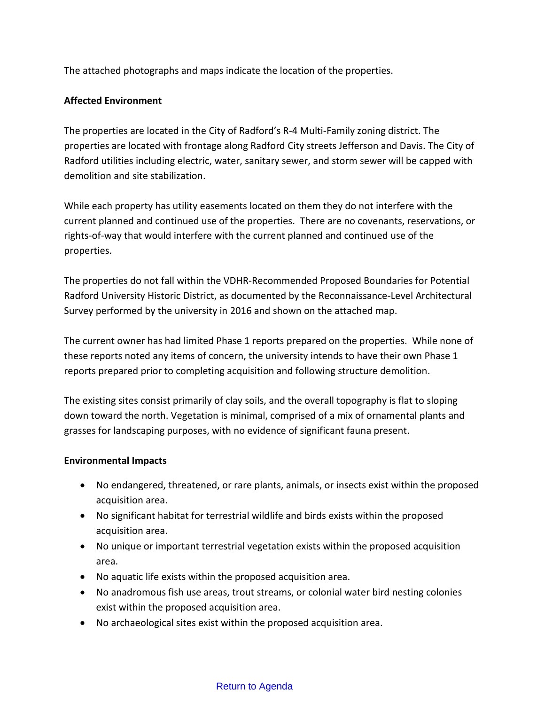The attached photographs and maps indicate the location of the properties.

# **Affected Environment**

The properties are located in the City of Radford's R-4 Multi-Family zoning district. The properties are located with frontage along Radford City streets Jefferson and Davis. The City of Radford utilities including electric, water, sanitary sewer, and storm sewer will be capped with demolition and site stabilization.

While each property has utility easements located on them they do not interfere with the current planned and continued use of the properties. There are no covenants, reservations, or rights-of-way that would interfere with the current planned and continued use of the properties.

The properties do not fall within the VDHR-Recommended Proposed Boundaries for Potential Radford University Historic District, as documented by the Reconnaissance-Level Architectural Survey performed by the university in 2016 and shown on the attached map.

The current owner has had limited Phase 1 reports prepared on the properties. While none of these reports noted any items of concern, the university intends to have their own Phase 1 reports prepared prior to completing acquisition and following structure demolition.

The existing sites consist primarily of clay soils, and the overall topography is flat to sloping down toward the north. Vegetation is minimal, comprised of a mix of ornamental plants and grasses for landscaping purposes, with no evidence of significant fauna present.

# **Environmental Impacts**

- No endangered, threatened, or rare plants, animals, or insects exist within the proposed acquisition area.
- No significant habitat for terrestrial wildlife and birds exists within the proposed acquisition area.
- No unique or important terrestrial vegetation exists within the proposed acquisition area.
- No aquatic life exists within the proposed acquisition area.
- No anadromous fish use areas, trout streams, or colonial water bird nesting colonies exist within the proposed acquisition area.
- No archaeological sites exist within the proposed acquisition area.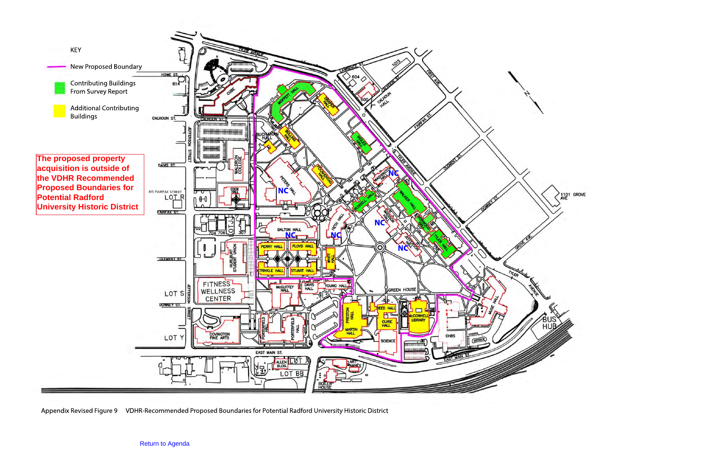

Appendix Revised Figure 9 VDHR-Recommended Proposed Boundaries for Potential Radford University Historic District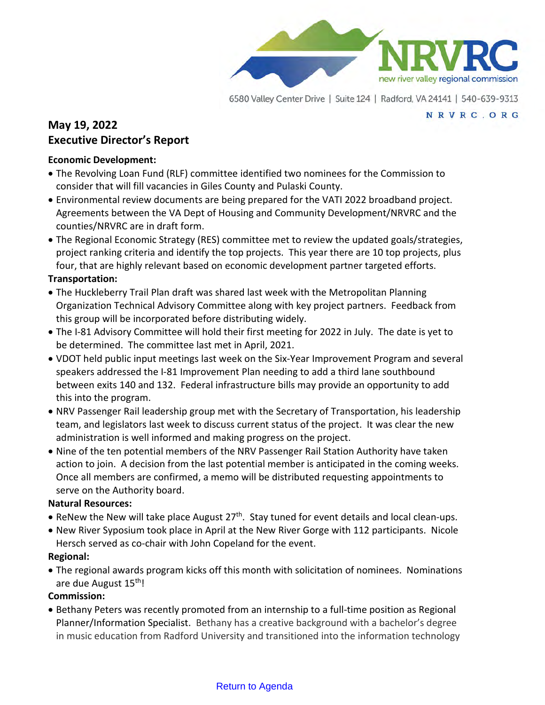

#### NRVRC.ORG

# **May 19, 2022 Executive Director's Report**

## **Economic Development:**

- The Revolving Loan Fund (RLF) committee identified two nominees for the Commission to consider that will fill vacancies in Giles County and Pulaski County.
- Environmental review documents are being prepared for the VATI 2022 broadband project. Agreements between the VA Dept of Housing and Community Development/NRVRC and the counties/NRVRC are in draft form.
- The Regional Economic Strategy (RES) committee met to review the updated goals/strategies, project ranking criteria and identify the top projects. This year there are 10 top projects, plus four, that are highly relevant based on economic development partner targeted efforts.

# **Transportation:**

- The Huckleberry Trail Plan draft was shared last week with the Metropolitan Planning Organization Technical Advisory Committee along with key project partners. Feedback from this group will be incorporated before distributing widely.
- The I-81 Advisory Committee will hold their first meeting for 2022 in July. The date is yet to be determined. The committee last met in April, 2021.
- VDOT held public input meetings last week on the Six-Year Improvement Program and several speakers addressed the I-81 Improvement Plan needing to add a third lane southbound between exits 140 and 132. Federal infrastructure bills may provide an opportunity to add this into the program.
- NRV Passenger Rail leadership group met with the Secretary of Transportation, his leadership team, and legislators last week to discuss current status of the project. It was clear the new administration is well informed and making progress on the project.
- Nine of the ten potential members of the NRV Passenger Rail Station Authority have taken action to join. A decision from the last potential member is anticipated in the coming weeks. Once all members are confirmed, a memo will be distributed requesting appointments to serve on the Authority board.

# **Natural Resources:**

- ReNew the New will take place August  $27<sup>th</sup>$ . Stay tuned for event details and local clean-ups.
- New River Syposium took place in April at the New River Gorge with 112 participants. Nicole Hersch served as co-chair with John Copeland for the event.

# **Regional:**

• The regional awards program kicks off this month with solicitation of nominees. Nominations are due August 15<sup>th</sup>!

# **Commission:**

• Bethany Peters was recently promoted from an internship to a full-time position as Regional Planner/Information Specialist. Bethany has a creative background with a bachelor's degree in music education from Radford University and transitioned into the information technology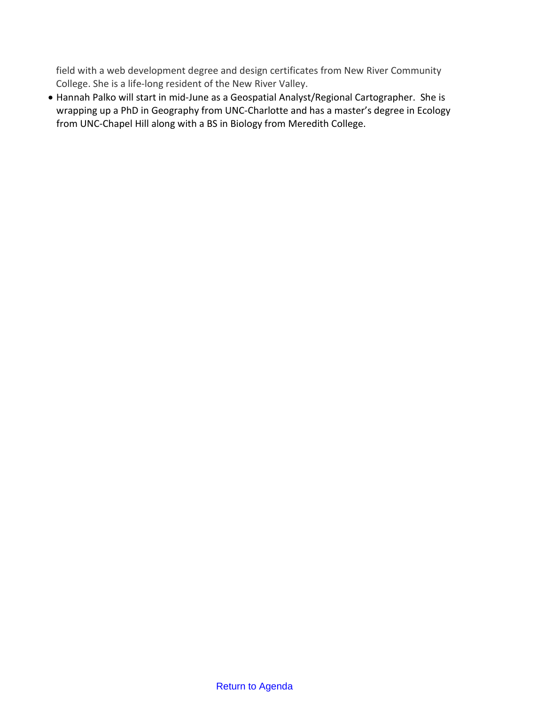field with a web development degree and design certificates from New River Community College. She is a life-long resident of the New River Valley.

• Hannah Palko will start in mid-June as a Geospatial Analyst/Regional Cartographer. She is wrapping up a PhD in Geography from UNC-Charlotte and has a master's degree in Ecology from UNC-Chapel Hill along with a BS in Biology from Meredith College.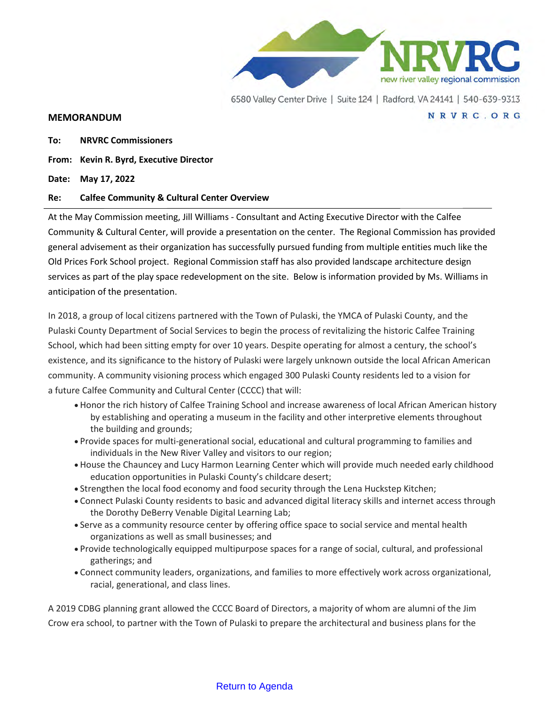

NRVRC.ORG

#### **MEMORANDUM**

**To: NRVRC Commissioners**

**From: Kevin R. Byrd, Executive Director**

**Date: May 17, 2022**

#### **Re: Calfee Community & Cultural Center Overview**

At the May Commission meeting, Jill Williams - Consultant and Acting Executive Director with the Calfee Community & Cultural Center, will provide a presentation on the center. The Regional Commission has provided general advisement as their organization has successfully pursued funding from multiple entities much like the Old Prices Fork School project. Regional Commission staff has also provided landscape architecture design services as part of the play space redevelopment on the site. Below is information provided by Ms. Williams in anticipation of the presentation.

In 2018, a group of local citizens partnered with the Town of Pulaski, the YMCA of Pulaski County, and the Pulaski County Department of Social Services to begin the process of revitalizing the historic Calfee Training School, which had been sitting empty for over 10 years. Despite operating for almost a century, the school's existence, and its significance to the history of Pulaski were largely unknown outside the local African American community. A community visioning process which engaged 300 Pulaski County residents led to a vision for a future Calfee Community and Cultural Center (CCCC) that will:

- Honor the rich history of Calfee Training School and increase awareness of local African American history by establishing and operating a museum in the facility and other interpretive elements throughout the building and grounds;
- Provide spaces for multi-generational social, educational and cultural programming to families and individuals in the New River Valley and visitors to our region;
- House the Chauncey and Lucy Harmon Learning Center which will provide much needed early childhood education opportunities in Pulaski County's childcare desert;
- Strengthen the local food economy and food security through the Lena Huckstep Kitchen;
- Connect Pulaski County residents to basic and advanced digital literacy skills and internet access through the Dorothy DeBerry Venable Digital Learning Lab;
- Serve as a community resource center by offering office space to social service and mental health organizations as well as small businesses; and
- Provide technologically equipped multipurpose spaces for a range of social, cultural, and professional gatherings; and
- Connect community leaders, organizations, and families to more effectively work across organizational, racial, generational, and class lines.

A 2019 CDBG planning grant allowed the CCCC Board of Directors, a majority of whom are alumni of the Jim Crow era school, to partner with the Town of Pulaski to prepare the architectural and business plans for the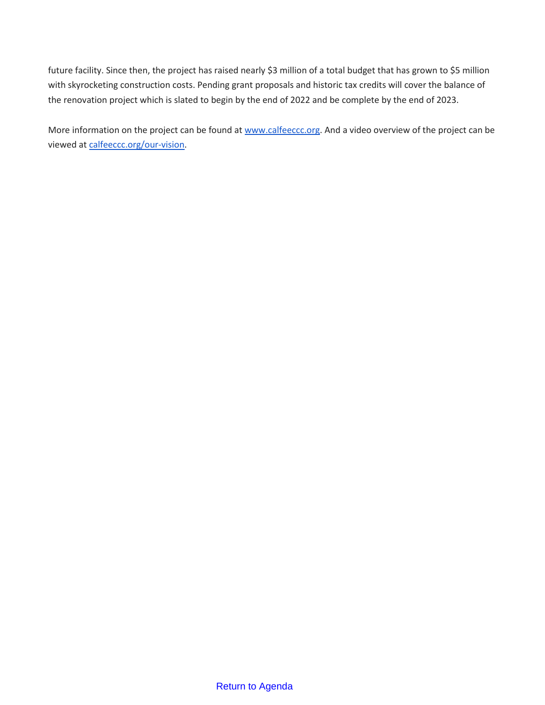future facility. Since then, the project has raised nearly \$3 million of a total budget that has grown to \$5 million with skyrocketing construction costs. Pending grant proposals and historic tax credits will cover the balance of the renovation project which is slated to begin by the end of 2022 and be complete by the end of 2023.

More information on the project can be found at [www.calfeeccc.org.](http://www.calfeeccc.org/) And a video overview of the project can be viewed at [calfeeccc.org/our-vision.](http://calfeeccc.org/our-vision)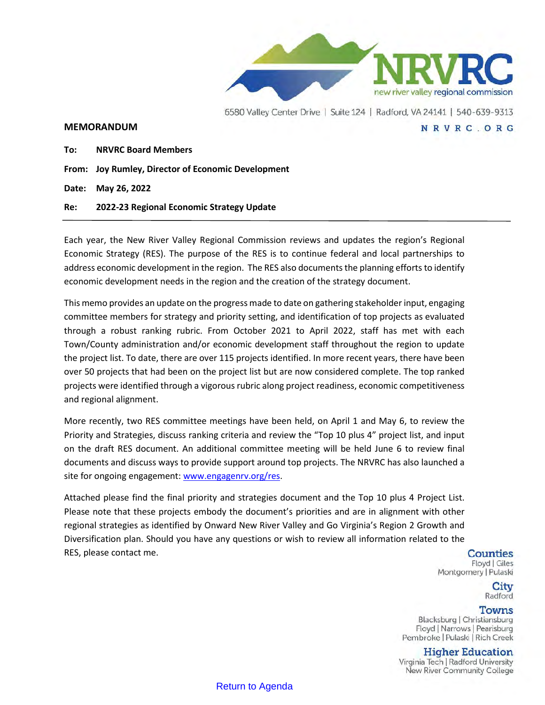

#### **MEMORANDUM**

**To: NRVRC Board Members**

**From: Joy Rumley, Director of Economic Development** 

**Date: May 26, 2022**

**Re: 2022-23 Regional Economic Strategy Update**

Each year, the New River Valley Regional Commission reviews and updates the region's Regional Economic Strategy (RES). The purpose of the RES is to continue federal and local partnerships to address economic development in the region. The RES also documents the planning efforts to identify economic development needs in the region and the creation of the strategy document.

This memo provides an update on the progress made to date on gathering stakeholder input, engaging committee members for strategy and priority setting, and identification of top projects as evaluated through a robust ranking rubric. From October 2021 to April 2022, staff has met with each Town/County administration and/or economic development staff throughout the region to update the project list. To date, there are over 115 projects identified. In more recent years, there have been over 50 projects that had been on the project list but are now considered complete. The top ranked projects were identified through a vigorous rubric along project readiness, economic competitiveness and regional alignment.

More recently, two RES committee meetings have been held, on April 1 and May 6, to review the Priority and Strategies, discuss ranking criteria and review the "Top 10 plus 4" project list, and input on the draft RES document. An additional committee meeting will be held June 6 to review final documents and discuss ways to provide support around top projects. The NRVRC has also launched a site for ongoing engagement: [www.engagenrv.org/res.](http://www.engagenrv.org/res)

Attached please find the final priority and strategies document and the Top 10 plus 4 Project List. Please note that these projects embody the document's priorities and are in alignment with other regional strategies as identified by Onward New River Valley and Go Virginia's Region 2 Growth and Diversification plan. Should you have any questions or wish to review all information related to the RES, please contact me.

Counties Floyd | Giles Montgomery | Pulaski

NRVRC.ORG

City Radford

#### **Towns**

Blacksburg | Christiansburg Floyd | Narrows | Pearisburg Pembroke | Pulaski | Rich Creek

**Higher Education** 

Virginia Tech | Radford University New River Community College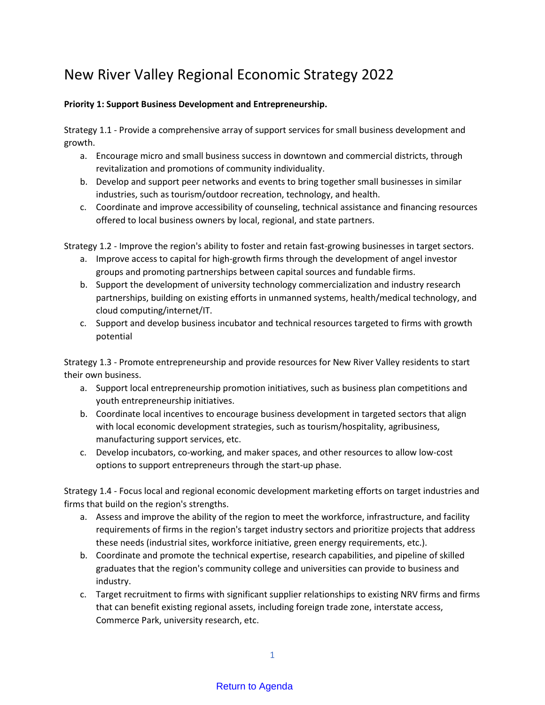# New River Valley Regional Economic Strategy 2022

### **Priority 1: Support Business Development and Entrepreneurship.**

Strategy 1.1 - Provide a comprehensive array of support services for small business development and growth.

- a. Encourage micro and small business success in downtown and commercial districts, through revitalization and promotions of community individuality.
- b. Develop and support peer networks and events to bring together small businesses in similar industries, such as tourism/outdoor recreation, technology, and health.
- c. Coordinate and improve accessibility of counseling, technical assistance and financing resources offered to local business owners by local, regional, and state partners.

Strategy 1.2 - Improve the region's ability to foster and retain fast-growing businesses in target sectors.

- a. Improve access to capital for high-growth firms through the development of angel investor groups and promoting partnerships between capital sources and fundable firms.
- b. Support the development of university technology commercialization and industry research partnerships, building on existing efforts in unmanned systems, health/medical technology, and cloud computing/internet/IT.
- c. Support and develop business incubator and technical resources targeted to firms with growth potential

Strategy 1.3 - Promote entrepreneurship and provide resources for New River Valley residents to start their own business.

- a. Support local entrepreneurship promotion initiatives, such as business plan competitions and youth entrepreneurship initiatives.
- b. Coordinate local incentives to encourage business development in targeted sectors that align with local economic development strategies, such as tourism/hospitality, agribusiness, manufacturing support services, etc.
- c. Develop incubators, co-working, and maker spaces, and other resources to allow low-cost options to support entrepreneurs through the start-up phase.

Strategy 1.4 - Focus local and regional economic development marketing efforts on target industries and firms that build on the region's strengths.

- a. Assess and improve the ability of the region to meet the workforce, infrastructure, and facility requirements of firms in the region's target industry sectors and prioritize projects that address these needs (industrial sites, workforce initiative, green energy requirements, etc.).
- b. Coordinate and promote the technical expertise, research capabilities, and pipeline of skilled graduates that the region's community college and universities can provide to business and industry.
- c. Target recruitment to firms with significant supplier relationships to existing NRV firms and firms that can benefit existing regional assets, including foreign trade zone, interstate access, Commerce Park, university research, etc.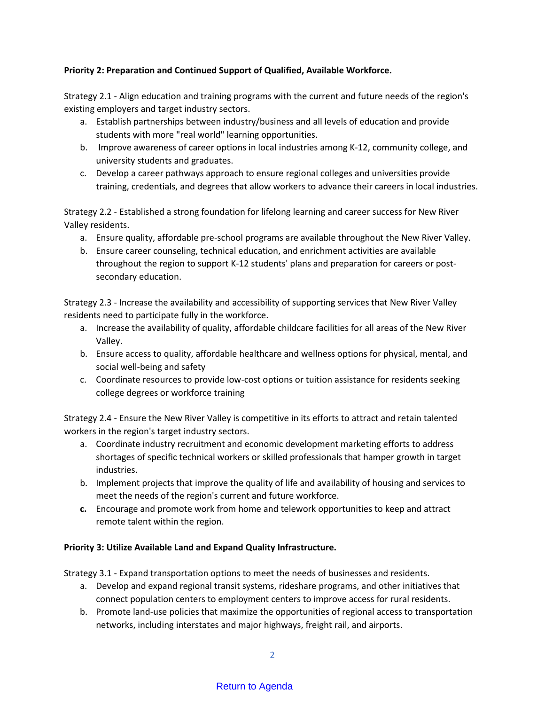### **Priority 2: Preparation and Continued Support of Qualified, Available Workforce.**

Strategy 2.1 - Align education and training programs with the current and future needs of the region's existing employers and target industry sectors.

- a. Establish partnerships between industry/business and all levels of education and provide students with more "real world" learning opportunities.
- b. Improve awareness of career options in local industries among K-12, community college, and university students and graduates.
- c. Develop a career pathways approach to ensure regional colleges and universities provide training, credentials, and degrees that allow workers to advance their careers in local industries.

Strategy 2.2 - Established a strong foundation for lifelong learning and career success for New River Valley residents.

- a. Ensure quality, affordable pre-school programs are available throughout the New River Valley.
- b. Ensure career counseling, technical education, and enrichment activities are available throughout the region to support K-12 students' plans and preparation for careers or postsecondary education.

Strategy 2.3 - Increase the availability and accessibility of supporting services that New River Valley residents need to participate fully in the workforce.

- a. Increase the availability of quality, affordable childcare facilities for all areas of the New River Valley.
- b. Ensure access to quality, affordable healthcare and wellness options for physical, mental, and social well-being and safety
- c. Coordinate resources to provide low-cost options or tuition assistance for residents seeking college degrees or workforce training

Strategy 2.4 - Ensure the New River Valley is competitive in its efforts to attract and retain talented workers in the region's target industry sectors.

- a. Coordinate industry recruitment and economic development marketing efforts to address shortages of specific technical workers or skilled professionals that hamper growth in target industries.
- b. Implement projects that improve the quality of life and availability of housing and services to meet the needs of the region's current and future workforce.
- **c.** Encourage and promote work from home and telework opportunities to keep and attract remote talent within the region.

#### **Priority 3: Utilize Available Land and Expand Quality Infrastructure.**

Strategy 3.1 - Expand transportation options to meet the needs of businesses and residents.

- a. Develop and expand regional transit systems, rideshare programs, and other initiatives that connect population centers to employment centers to improve access for rural residents.
- b. Promote land-use policies that maximize the opportunities of regional access to transportation networks, including interstates and major highways, freight rail, and airports.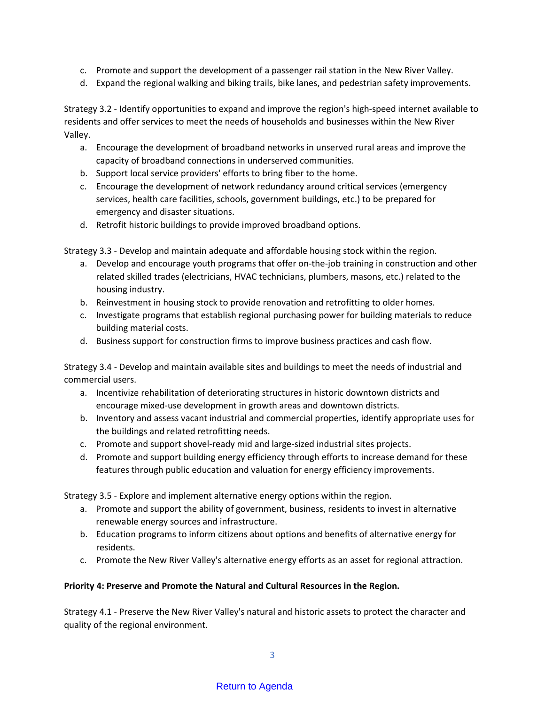- c. Promote and support the development of a passenger rail station in the New River Valley.
- d. Expand the regional walking and biking trails, bike lanes, and pedestrian safety improvements.

Strategy 3.2 - Identify opportunities to expand and improve the region's high-speed internet available to residents and offer services to meet the needs of households and businesses within the New River Valley.

- a. Encourage the development of broadband networks in unserved rural areas and improve the capacity of broadband connections in underserved communities.
- b. Support local service providers' efforts to bring fiber to the home.
- c. Encourage the development of network redundancy around critical services (emergency services, health care facilities, schools, government buildings, etc.) to be prepared for emergency and disaster situations.
- d. Retrofit historic buildings to provide improved broadband options.

Strategy 3.3 - Develop and maintain adequate and affordable housing stock within the region.

- a. Develop and encourage youth programs that offer on-the-job training in construction and other related skilled trades (electricians, HVAC technicians, plumbers, masons, etc.) related to the housing industry.
- b. Reinvestment in housing stock to provide renovation and retrofitting to older homes.
- c. Investigate programs that establish regional purchasing power for building materials to reduce building material costs.
- d. Business support for construction firms to improve business practices and cash flow.

Strategy 3.4 - Develop and maintain available sites and buildings to meet the needs of industrial and commercial users.

- a. Incentivize rehabilitation of deteriorating structures in historic downtown districts and encourage mixed-use development in growth areas and downtown districts.
- b. Inventory and assess vacant industrial and commercial properties, identify appropriate uses for the buildings and related retrofitting needs.
- c. Promote and support shovel-ready mid and large-sized industrial sites projects.
- d. Promote and support building energy efficiency through efforts to increase demand for these features through public education and valuation for energy efficiency improvements.

Strategy 3.5 - Explore and implement alternative energy options within the region.

- a. Promote and support the ability of government, business, residents to invest in alternative renewable energy sources and infrastructure.
- b. Education programs to inform citizens about options and benefits of alternative energy for residents.
- c. Promote the New River Valley's alternative energy efforts as an asset for regional attraction.

#### **Priority 4: Preserve and Promote the Natural and Cultural Resources in the Region.**

Strategy 4.1 - Preserve the New River Valley's natural and historic assets to protect the character and quality of the regional environment.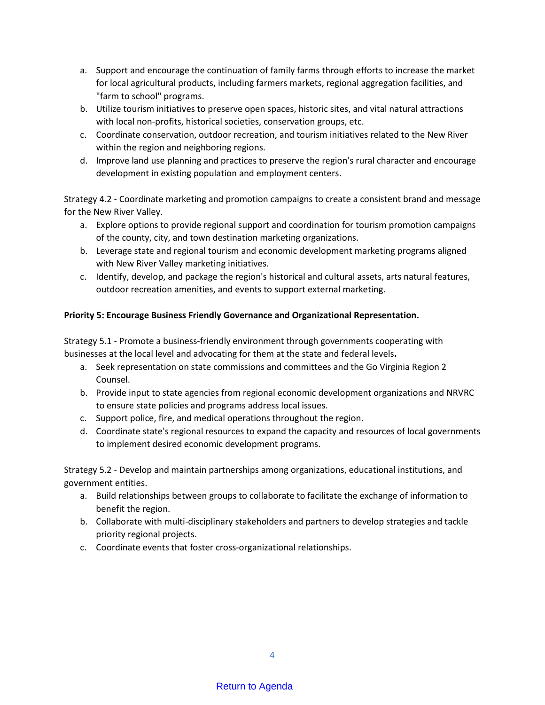- a. Support and encourage the continuation of family farms through efforts to increase the market for local agricultural products, including farmers markets, regional aggregation facilities, and "farm to school" programs.
- b. Utilize tourism initiatives to preserve open spaces, historic sites, and vital natural attractions with local non-profits, historical societies, conservation groups, etc.
- c. Coordinate conservation, outdoor recreation, and tourism initiatives related to the New River within the region and neighboring regions.
- d. Improve land use planning and practices to preserve the region's rural character and encourage development in existing population and employment centers.

Strategy 4.2 - Coordinate marketing and promotion campaigns to create a consistent brand and message for the New River Valley.

- a. Explore options to provide regional support and coordination for tourism promotion campaigns of the county, city, and town destination marketing organizations.
- b. Leverage state and regional tourism and economic development marketing programs aligned with New River Valley marketing initiatives.
- c. Identify, develop, and package the region's historical and cultural assets, arts natural features, outdoor recreation amenities, and events to support external marketing.

## **Priority 5: Encourage Business Friendly Governance and Organizational Representation.**

Strategy 5.1 - Promote a business-friendly environment through governments cooperating with businesses at the local level and advocating for them at the state and federal levels**.** 

- a. Seek representation on state commissions and committees and the Go Virginia Region 2 Counsel.
- b. Provide input to state agencies from regional economic development organizations and NRVRC to ensure state policies and programs address local issues.
- c. Support police, fire, and medical operations throughout the region.
- d. Coordinate state's regional resources to expand the capacity and resources of local governments to implement desired economic development programs.

Strategy 5.2 - Develop and maintain partnerships among organizations, educational institutions, and government entities.

- a. Build relationships between groups to collaborate to facilitate the exchange of information to benefit the region.
- b. Collaborate with multi-disciplinary stakeholders and partners to develop strategies and tackle priority regional projects.
- c. Coordinate events that foster cross-organizational relationships.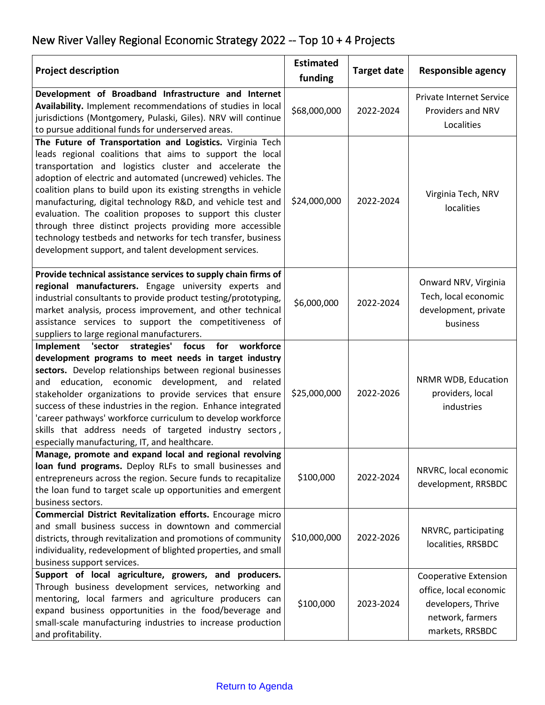# New River Valley Regional Economic Strategy 2022 -- Top 10 + 4 Projects

| <b>Project description</b>                                                                                                                                                                                                                                                                                                                                                                                                                                                                                                                                                                                                            | <b>Estimated</b><br>funding | <b>Target date</b> | <b>Responsible agency</b>                                                                                           |
|---------------------------------------------------------------------------------------------------------------------------------------------------------------------------------------------------------------------------------------------------------------------------------------------------------------------------------------------------------------------------------------------------------------------------------------------------------------------------------------------------------------------------------------------------------------------------------------------------------------------------------------|-----------------------------|--------------------|---------------------------------------------------------------------------------------------------------------------|
| Development of Broadband Infrastructure and Internet<br>Availability. Implement recommendations of studies in local<br>jurisdictions (Montgomery, Pulaski, Giles). NRV will continue<br>to pursue additional funds for underserved areas.                                                                                                                                                                                                                                                                                                                                                                                             | \$68,000,000                | 2022-2024          | <b>Private Internet Service</b><br>Providers and NRV<br>Localities                                                  |
| The Future of Transportation and Logistics. Virginia Tech<br>leads regional coalitions that aims to support the local<br>transportation and logistics cluster and accelerate the<br>adoption of electric and automated (uncrewed) vehicles. The<br>coalition plans to build upon its existing strengths in vehicle<br>manufacturing, digital technology R&D, and vehicle test and<br>evaluation. The coalition proposes to support this cluster<br>through three distinct projects providing more accessible<br>technology testbeds and networks for tech transfer, business<br>development support, and talent development services. | \$24,000,000                | 2022-2024          | Virginia Tech, NRV<br>localities                                                                                    |
| Provide technical assistance services to supply chain firms of<br>regional manufacturers. Engage university experts and<br>industrial consultants to provide product testing/prototyping,<br>market analysis, process improvement, and other technical<br>assistance services to support the competitiveness of<br>suppliers to large regional manufacturers.                                                                                                                                                                                                                                                                         | \$6,000,000                 | 2022-2024          | Onward NRV, Virginia<br>Tech, local economic<br>development, private<br>business                                    |
| Implement 'sector strategies' focus<br>for<br>workforce<br>development programs to meet needs in target industry<br>sectors. Develop relationships between regional businesses<br>education, economic development, and related<br>and<br>stakeholder organizations to provide services that ensure<br>success of these industries in the region. Enhance integrated<br>'career pathways' workforce curriculum to develop workforce<br>skills that address needs of targeted industry sectors,<br>especially manufacturing, IT, and healthcare.                                                                                        | \$25,000,000                | 2022-2026          | NRMR WDB, Education<br>providers, local<br>industries                                                               |
| Manage, promote and expand local and regional revolving<br>loan fund programs. Deploy RLFs to small businesses and<br>entrepreneurs across the region. Secure funds to recapitalize<br>the loan fund to target scale up opportunities and emergent<br>business sectors.                                                                                                                                                                                                                                                                                                                                                               | \$100,000                   | 2022-2024          | NRVRC, local economic<br>development, RRSBDC                                                                        |
| Commercial District Revitalization efforts. Encourage micro<br>and small business success in downtown and commercial<br>districts, through revitalization and promotions of community<br>individuality, redevelopment of blighted properties, and small<br>business support services.                                                                                                                                                                                                                                                                                                                                                 | \$10,000,000                | 2022-2026          | NRVRC, participating<br>localities, RRSBDC                                                                          |
| Support of local agriculture, growers, and producers.<br>Through business development services, networking and<br>mentoring, local farmers and agriculture producers can<br>expand business opportunities in the food/beverage and<br>small-scale manufacturing industries to increase production<br>and profitability.                                                                                                                                                                                                                                                                                                               | \$100,000                   | 2023-2024          | <b>Cooperative Extension</b><br>office, local economic<br>developers, Thrive<br>network, farmers<br>markets, RRSBDC |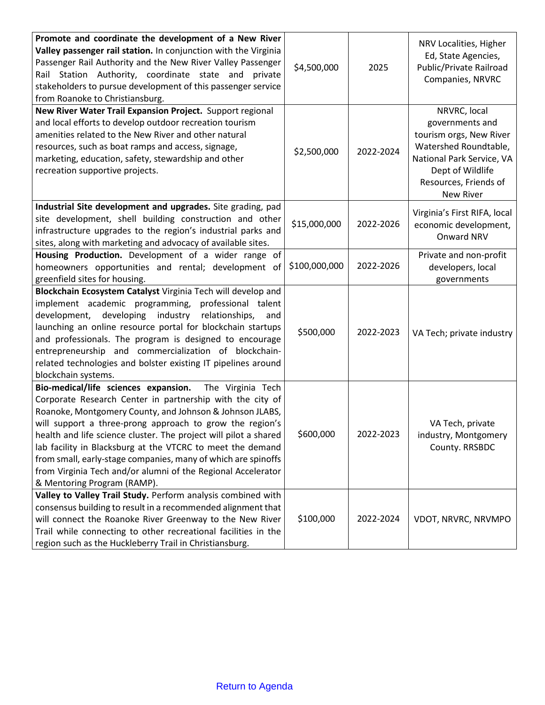| Promote and coordinate the development of a New River                                                                |               |           | NRV Localities, Higher                   |
|----------------------------------------------------------------------------------------------------------------------|---------------|-----------|------------------------------------------|
| Valley passenger rail station. In conjunction with the Virginia                                                      |               |           | Ed, State Agencies,                      |
| Passenger Rail Authority and the New River Valley Passenger                                                          | \$4,500,000   | 2025      | Public/Private Railroad                  |
| Rail Station Authority, coordinate state and<br>private                                                              |               |           | Companies, NRVRC                         |
| stakeholders to pursue development of this passenger service                                                         |               |           |                                          |
| from Roanoke to Christiansburg.                                                                                      |               |           |                                          |
| New River Water Trail Expansion Project. Support regional<br>and local efforts to develop outdoor recreation tourism |               |           | NRVRC, local<br>governments and          |
| amenities related to the New River and other natural                                                                 |               |           | tourism orgs, New River                  |
| resources, such as boat ramps and access, signage,                                                                   |               |           | Watershed Roundtable,                    |
| marketing, education, safety, stewardship and other                                                                  | \$2,500,000   | 2022-2024 | National Park Service, VA                |
| recreation supportive projects.                                                                                      |               |           | Dept of Wildlife                         |
|                                                                                                                      |               |           | Resources, Friends of                    |
|                                                                                                                      |               |           | <b>New River</b>                         |
| Industrial Site development and upgrades. Site grading, pad                                                          |               |           |                                          |
| site development, shell building construction and other                                                              | \$15,000,000  | 2022-2026 | Virginia's First RIFA, local             |
| infrastructure upgrades to the region's industrial parks and                                                         |               |           | economic development,<br>Onward NRV      |
| sites, along with marketing and advocacy of available sites.                                                         |               |           |                                          |
| Housing Production. Development of a wider range of                                                                  |               |           | Private and non-profit                   |
| homeowners opportunities and rental; development of                                                                  | \$100,000,000 | 2022-2026 | developers, local                        |
| greenfield sites for housing.                                                                                        |               |           | governments                              |
| Blockchain Ecosystem Catalyst Virginia Tech will develop and                                                         |               |           |                                          |
| implement academic programming, professional talent                                                                  |               |           |                                          |
| development,<br>developing<br>industry<br>relationships,<br>and                                                      |               |           |                                          |
| launching an online resource portal for blockchain startups                                                          | \$500,000     | 2022-2023 | VA Tech; private industry                |
| and professionals. The program is designed to encourage                                                              |               |           |                                          |
| entrepreneurship and commercialization of blockchain-                                                                |               |           |                                          |
| related technologies and bolster existing IT pipelines around                                                        |               |           |                                          |
| blockchain systems.                                                                                                  |               |           |                                          |
| Bio-medical/life sciences expansion.<br>The Virginia Tech                                                            |               |           |                                          |
| Corporate Research Center in partnership with the city of                                                            |               |           |                                          |
| Roanoke, Montgomery County, and Johnson & Johnson JLABS,<br>will support a three-prong approach to grow the region's |               |           |                                          |
| health and life science cluster. The project will pilot a shared                                                     | \$600,000     | 2022-2023 | VA Tech, private<br>industry, Montgomery |
| lab facility in Blacksburg at the VTCRC to meet the demand                                                           |               |           | County. RRSBDC                           |
| from small, early-stage companies, many of which are spinoffs                                                        |               |           |                                          |
| from Virginia Tech and/or alumni of the Regional Accelerator                                                         |               |           |                                          |
| & Mentoring Program (RAMP).                                                                                          |               |           |                                          |
| Valley to Valley Trail Study. Perform analysis combined with                                                         |               |           |                                          |
| consensus building to result in a recommended alignment that                                                         |               |           |                                          |
| will connect the Roanoke River Greenway to the New River                                                             | \$100,000     | 2022-2024 | VDOT, NRVRC, NRVMPO                      |
| Trail while connecting to other recreational facilities in the                                                       |               |           |                                          |
| region such as the Huckleberry Trail in Christiansburg.                                                              |               |           |                                          |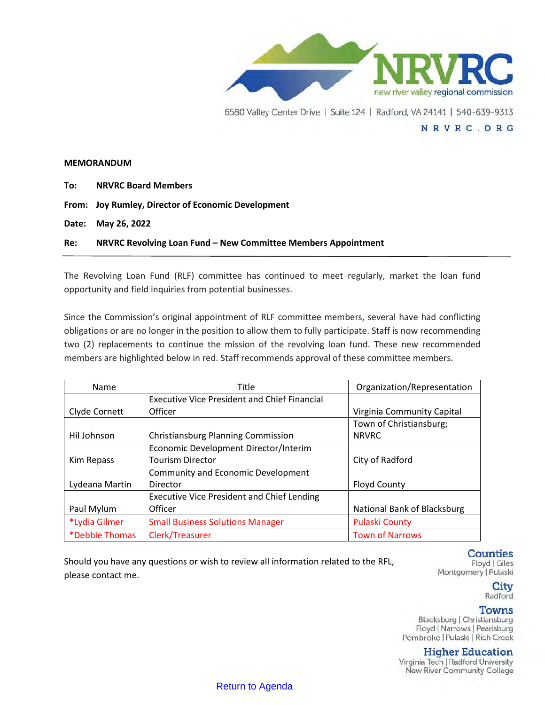

#### **MEMORANDUM**

| To: | <b>NRVRC Board Members</b>                                    |
|-----|---------------------------------------------------------------|
|     | From: Joy Rumley, Director of Economic Development            |
|     | Date: May 26, 2022                                            |
| Re: | NRVRC Revolving Loan Fund - New Committee Members Appointment |

The Revolving Loan Fund (RLF) committee has continued to meet regularly, market the loan fund opportunity and field inquiries from potential businesses.

Since the Commission's original appointment of RLF committee members, several have had conflicting obligations or are no longer in the position to allow them to fully participate. Staff is now recommending two (2) replacements to continue the mission of the revolving loan fund. These new recommended members are highlighted below in red. Staff recommends approval of these committee members.

| Name                  | <b>Title</b>                                        | Organization/Representation |
|-----------------------|-----------------------------------------------------|-----------------------------|
|                       | <b>Executive Vice President and Chief Financial</b> |                             |
| Clyde Cornett         | Officer                                             | Virginia Community Capital  |
|                       |                                                     | Town of Christiansburg;     |
| Hil Johnson           | <b>Christiansburg Planning Commission</b>           | <b>NRVRC</b>                |
|                       | Economic Development Director/Interim               |                             |
| Kim Repass            | <b>Tourism Director</b>                             | City of Radford             |
|                       | Community and Economic Development                  |                             |
| Lydeana Martin        | Director                                            | <b>Floyd County</b>         |
|                       | <b>Executive Vice President and Chief Lending</b>   |                             |
| Paul Mylum            | Officer                                             | National Bank of Blacksburg |
| *Lydia Gilmer         | <b>Small Business Solutions Manager</b>             | <b>Pulaski County</b>       |
| <i>*Debbie Thomas</i> | Clerk/Treasurer                                     | <b>Town of Narrows</b>      |

Should you have any questions or wish to review all information related to the RFL, please contact me.

**Counties** 

Floyd | Giles Montgomery | Pulaski

> City Radford

#### Towns

Blacksburg | Christiansburg Floyd | Narrows | Pearisburg Pembroke | Pulaski | Rich Creek

## **Higher Education**

Virginia Tech | Radford University New River Community College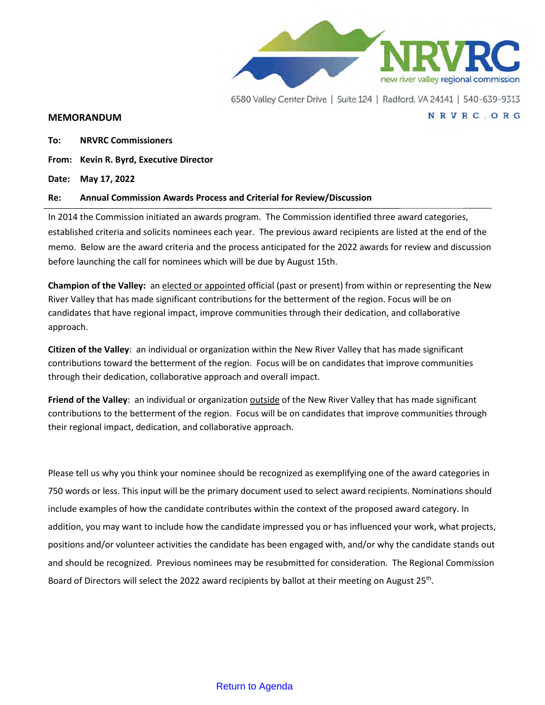

NRVRC.ORG

#### **MEMORANDUM**

**To: NRVRC Commissioners**

**From: Kevin R. Byrd, Executive Director**

**Date: May 17, 2022**

#### **Re: Annual Commission Awards Process and Criterial for Review/Discussion**

In 2014 the Commission initiated an awards program. The Commission identified three award categories, established criteria and solicits nominees each year. The previous award recipients are listed at the end of the memo. Below are the award criteria and the process anticipated for the 2022 awards for review and discussion before launching the call for nominees which will be due by August 15th.

**Champion of the Valley:** an elected or appointed official (past or present) from within or representing the New River Valley that has made significant contributions for the betterment of the region. Focus will be on candidates that have regional impact, improve communities through their dedication, and collaborative approach.

**Citizen of the Valley**: an individual or organization within the New River Valley that has made significant contributions toward the betterment of the region. Focus will be on candidates that improve communities through their dedication, collaborative approach and overall impact.

**Friend of the Valley**: an individual or organization outside of the New River Valley that has made significant contributions to the betterment of the region. Focus will be on candidates that improve communities through their regional impact, dedication, and collaborative approach.

Please tell us why you think your nominee should be recognized as exemplifying one of the award categories in 750 words or less. This input will be the primary document used to select award recipients. Nominations should include examples of how the candidate contributes within the context of the proposed award category. In addition, you may want to include how the candidate impressed you or has influenced your work, what projects, positions and/or volunteer activities the candidate has been engaged with, and/or why the candidate stands out and should be recognized. Previous nominees may be resubmitted for consideration. The Regional Commission Board of Directors will select the 2022 award recipients by ballot at their meeting on August 25<sup>th</sup>.